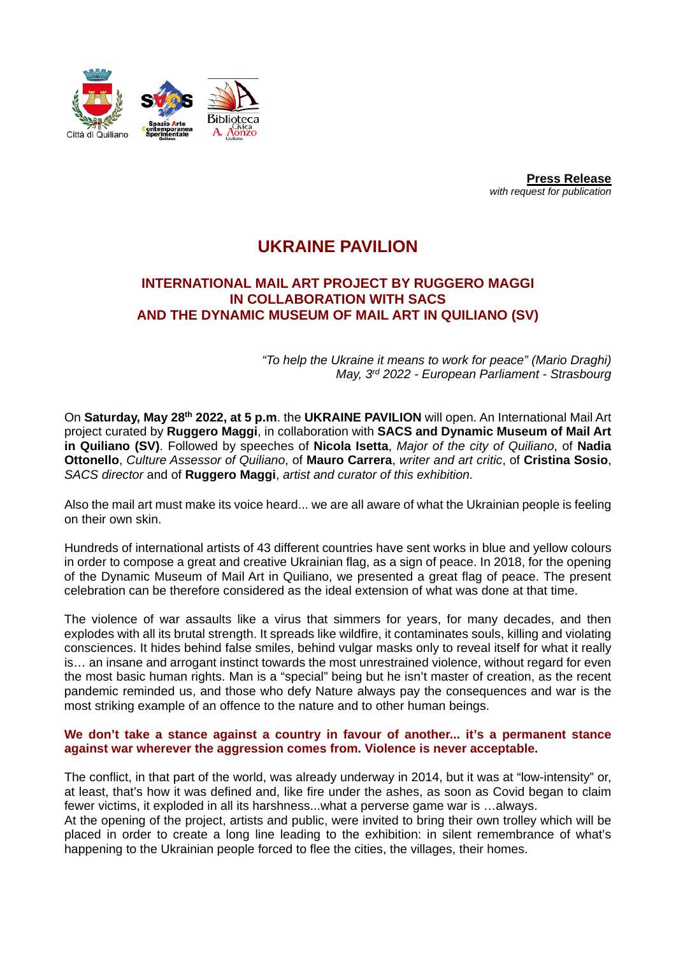

**Press Release** *with request for publication*

# **UKRAINE PAVILION**

## **INTERNATIONAL MAIL ART PROJECT BY RUGGERO MAGGI IN COLLABORATION WITH SACS AND THE DYNAMIC MUSEUM OF MAIL ART IN QUILIANO (SV)**

*"To help the Ukraine it means to work for peace" (Mario Draghi) May, 3rd 2022 - European Parliament - Strasbourg*

On **Saturday, May 28th 2022, at 5 p.m**. the **UKRAINE PAVILION** will open. An International Mail Art project curated by **Ruggero Maggi**, in collaboration with **SACS and Dynamic Museum of Mail Art in Quiliano (SV)**. Followed by speeches of **Nicola Isetta**, *Major of the city of Quiliano*, of **Nadia Ottonello**, *Culture Assessor of Quiliano*, of **Mauro Carrera**, *writer and art critic*, of **Cristina Sosio**, *SACS director* and of **Ruggero Maggi**, *artist and curator of this exhibition.*

Also the mail art must make its voice heard... we are all aware of what the Ukrainian people is feeling on their own skin.

Hundreds of international artists of 43 different countries have sent works in blue and yellow colours in order to compose a great and creative Ukrainian flag, as a sign of peace. In 2018, for the opening of the Dynamic Museum of Mail Art in Quiliano, we presented a great flag of peace. The present celebration can be therefore considered as the ideal extension of what was done at that time.

The violence of war assaults like a virus that simmers for years, for many decades, and then explodes with all its brutal strength. It spreads like wildfire, it contaminates souls, killing and violating consciences. It hides behind false smiles, behind vulgar masks only to reveal itself for what it really is… an insane and arrogant instinct towards the most unrestrained violence, without regard for even the most basic human rights. Man is a "special" being but he isn't master of creation, as the recent pandemic reminded us, and those who defy Nature always pay the consequences and war is the most striking example of an offence to the nature and to other human beings.

#### **We don't take a stance against a country in favour of another... it's a permanent stance against war wherever the aggression comes from. Violence is never acceptable.**

The conflict, in that part of the world, was already underway in 2014, but it was at "low-intensity" or, at least, that's how it was defined and, like fire under the ashes, as soon as Covid began to claim fewer victims, it exploded in all its harshness...what a perverse game war is …always.

At the opening of the project, artists and public, were invited to bring their own trolley which will be placed in order to create a long line leading to the exhibition: in silent remembrance of what's happening to the Ukrainian people forced to flee the cities, the villages, their homes.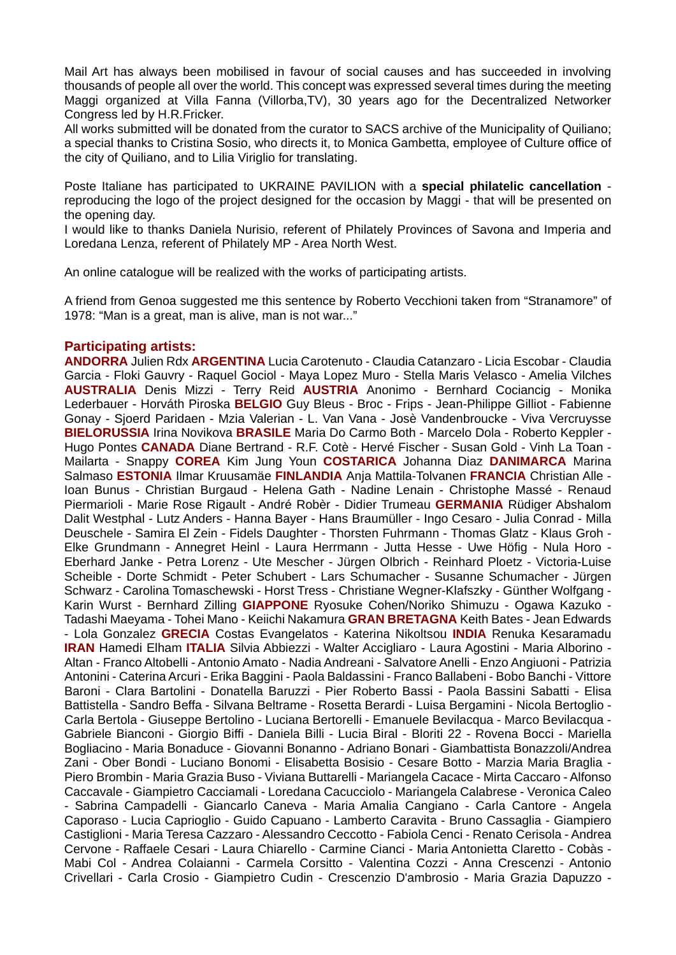Mail Art has always been mobilised in favour of social causes and has succeeded in involving thousands of people all over the world. This concept was expressed several times during the meeting Maggi organized at Villa Fanna (Villorba,TV), 30 years ago for the Decentralized Networker Congress led by H.R.Fricker.

All works submitted will be donated from the curator to SACS archive of the Municipality of Quiliano; a special thanks to Cristina Sosio, who directs it, to Monica Gambetta, employee of Culture office of the city of Quiliano, and to Lilia Viriglio for translating.

Poste Italiane has participated to UKRAINE PAVILION with a **special philatelic cancellation** reproducing the logo of the project designed for the occasion by Maggi - that will be presented on the opening day.

I would like to thanks Daniela Nurisio, referent of Philately Provinces of Savona and Imperia and Loredana Lenza, referent of Philately MP - Area North West.

An online catalogue will be realized with the works of participating artists.

A friend from Genoa suggested me this sentence by Roberto Vecchioni taken from "Stranamore" of 1978: "Man is a great, man is alive, man is not war..."

### **Participating artists:**

**ANDORRA** Julien Rdx **ARGENTINA** Lucia Carotenuto - Claudia Catanzaro - Licia Escobar - Claudia Garcia - Floki Gauvry - Raquel Gociol - Maya Lopez Muro - Stella Maris Velasco - Amelia Vilches **AUSTRALIA** Denis Mizzi - Terry Reid **AUSTRIA** Anonimo - Bernhard Cociancig - Monika Lederbauer - Horváth Piroska **BELGIO** Guy Bleus - Broc - Frips - Jean-Philippe Gilliot - Fabienne Gonay - Sjoerd Paridaen - Mzia Valerian - L. Van Vana - Josè Vandenbroucke - Viva Vercruysse **BIELORUSSIA** Irina Novikova **BRASILE** Maria Do Carmo Both - Marcelo Dola - Roberto Keppler - Hugo Pontes **CANADA** Diane Bertrand - R.F. Cotè - Hervé Fischer - Susan Gold - Vinh La Toan - Mailarta - Snappy **COREA** Kim Jung Youn **COSTARICA** Johanna Diaz **DANIMARCA** Marina Salmaso **ESTONIA** Ilmar Kruusamäe **FINLANDIA** Anja Mattila-Tolvanen **FRANCIA** Christian Alle - Ioan Bunus - Christian Burgaud - Helena Gath - Nadine Lenain - Christophe Massé - Renaud Piermarioli - Marie Rose Rigault - André Robèr - Didier Trumeau **GERMANIA** Rüdiger Abshalom Dalit Westphal - Lutz Anders - Hanna Bayer - Hans Braumüller - Ingo Cesaro - Julia Conrad - Milla Deuschele - Samira El Zein - Fidels Daughter - Thorsten Fuhrmann - Thomas Glatz - Klaus Groh - Elke Grundmann - Annegret Heinl - Laura Herrmann - Jutta Hesse - Uwe Höfig - Nula Horo - Eberhard Janke - Petra Lorenz - Ute Mescher - Jürgen Olbrich - Reinhard Ploetz - Victoria-Luise Scheible - Dorte Schmidt - Peter Schubert - Lars Schumacher - Susanne Schumacher - Jürgen Schwarz - Carolina Tomaschewski - Horst Tress - Christiane Wegner-Klafszky - Günther Wolfgang - Karin Wurst - Bernhard Zilling **GIAPPONE** Ryosuke Cohen/Noriko Shimuzu - Ogawa Kazuko - Tadashi Maeyama - Tohei Mano - Keiichi Nakamura **GRAN BRETAGNA** Keith Bates - Jean Edwards - Lola Gonzalez **GRECIA** Costas Evangelatos - Katerina Nikoltsou **INDIA** Renuka Kesaramadu **IRAN** Hamedi Elham **ITALIA** Silvia Abbiezzi - Walter Accigliaro - Laura Agostini - Maria Alborino - Altan - Franco Altobelli - Antonio Amato - Nadia Andreani - Salvatore Anelli - Enzo Angiuoni - Patrizia Antonini - Caterina Arcuri - Erika Baggini - Paola Baldassini - Franco Ballabeni - Bobo Banchi - Vittore Baroni - Clara Bartolini - Donatella Baruzzi - Pier Roberto Bassi - Paola Bassini Sabatti - Elisa Battistella - Sandro Beffa - Silvana Beltrame - Rosetta Berardi - Luisa Bergamini - Nicola Bertoglio - Carla Bertola - Giuseppe Bertolino - Luciana Bertorelli - Emanuele Bevilacqua - Marco Bevilacqua - Gabriele Bianconi - Giorgio Biffi - Daniela Billi - Lucia Biral - Bloriti 22 - Rovena Bocci - Mariella Bogliacino - Maria Bonaduce - Giovanni Bonanno - Adriano Bonari - Giambattista Bonazzoli/Andrea Zani - Ober Bondi - Luciano Bonomi - Elisabetta Bosisio - Cesare Botto - Marzia Maria Braglia - Piero Brombin - Maria Grazia Buso - Viviana Buttarelli - Mariangela Cacace - Mirta Caccaro - Alfonso Caccavale - Giampietro Cacciamali - Loredana Cacucciolo - Mariangela Calabrese - Veronica Caleo - Sabrina Campadelli - Giancarlo Caneva - Maria Amalia Cangiano - Carla Cantore - Angela Caporaso - Lucia Caprioglio - Guido Capuano - Lamberto Caravita - Bruno Cassaglia - Giampiero Castiglioni - Maria Teresa Cazzaro - Alessandro Ceccotto - Fabiola Cenci - Renato Cerisola - Andrea Cervone - Raffaele Cesari - Laura Chiarello - Carmine Cianci - Maria Antonietta Claretto - Cobàs - Mabi Col - Andrea Colaianni - Carmela Corsitto - Valentina Cozzi - Anna Crescenzi - Antonio Crivellari - Carla Crosio - Giampietro Cudin - Crescenzio D'ambrosio - Maria Grazia Dapuzzo -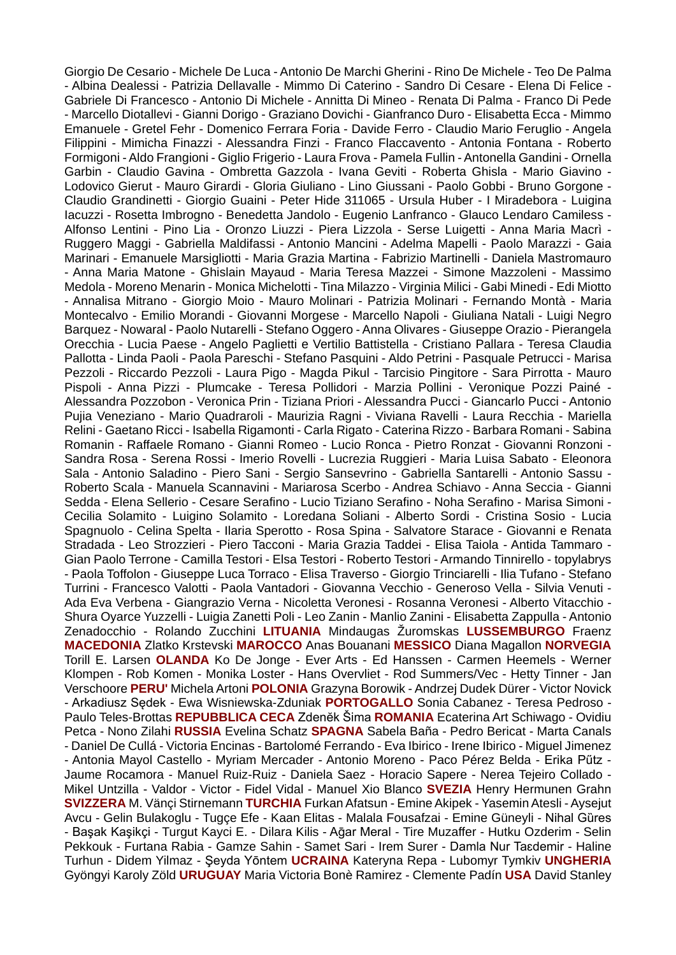Giorgio De Cesario - Michele De Luca - Antonio De Marchi Gherini - Rino De Michele - Teo De Palma - Albina Dealessi - Patrizia Dellavalle - Mimmo Di Caterino - Sandro Di Cesare - Elena Di Felice - Gabriele Di Francesco - Antonio Di Michele - Annitta Di Mineo - Renata Di Palma - Franco Di Pede - Marcello Diotallevi - Gianni Dorigo - Graziano Dovichi - Gianfranco Duro - Elisabetta Ecca - Mimmo Emanuele - Gretel Fehr - Domenico Ferrara Foria - Davide Ferro - Claudio Mario Feruglio - Angela Filippini - Mimicha Finazzi - Alessandra Finzi - Franco Flaccavento - Antonia Fontana - Roberto Formigoni - Aldo Frangioni - Giglio Frigerio - Laura Frova - Pamela Fullin -Antonella Gandini - Ornella Garbin - Claudio Gavina - Ombretta Gazzola - Ivana Geviti - Roberta Ghisla - Mario Giavino - Lodovico Gierut - Mauro Girardi - Gloria Giuliano - Lino Giussani - Paolo Gobbi - Bruno Gorgone - Claudio Grandinetti - Giorgio Guaini - Peter Hide 311065 - Ursula Huber - I Miradebora - Luigina Iacuzzi - Rosetta Imbrogno - Benedetta Jandolo - Eugenio Lanfranco - Glauco Lendaro Camiless - Alfonso Lentini - Pino Lia - Oronzo Liuzzi - Piera Lizzola - Serse Luigetti - Anna Maria Macrì - Ruggero Maggi - Gabriella Maldifassi - Antonio Mancini - Adelma Mapelli - Paolo Marazzi - Gaia Marinari - Emanuele Marsigliotti - Maria Grazia Martina - Fabrizio Martinelli - Daniela Mastromauro - Anna Maria Matone - Ghislain Mayaud - Maria Teresa Mazzei - Simone Mazzoleni - Massimo Medola - Moreno Menarin - Monica Michelotti - Tina Milazzo - Virginia Milici - Gabi Minedi - Edi Miotto - Annalisa Mitrano - Giorgio Moio - Mauro Molinari - Patrizia Molinari - Fernando Montà - Maria Montecalvo - Emilio Morandi - Giovanni Morgese - Marcello Napoli - Giuliana Natali - Luigi Negro Barquez - Nowaral - Paolo Nutarelli - Stefano Oggero - Anna Olivares - Giuseppe Orazio - Pierangela Orecchia - Lucia Paese - Angelo Paglietti e Vertilio Battistella - Cristiano Pallara - Teresa Claudia Pallotta - Linda Paoli - Paola Pareschi - Stefano Pasquini - Aldo Petrini - Pasquale Petrucci - Marisa Pezzoli - Riccardo Pezzoli - Laura Pigo - Magda Pikul - Tarcisio Pingitore - Sara Pirrotta - Mauro Pispoli - Anna Pizzi - Plumcake - Teresa Pollidori - Marzia Pollini - Veronique Pozzi Painé - Alessandra Pozzobon - Veronica Prin - Tiziana Priori - Alessandra Pucci - Giancarlo Pucci - Antonio Pujia Veneziano - Mario Quadraroli - Maurizia Ragni - Viviana Ravelli - Laura Recchia - Mariella Relini - Gaetano Ricci - Isabella Rigamonti - Carla Rigato - Caterina Rizzo - Barbara Romani - Sabina Romanin - Raffaele Romano - Gianni Romeo - Lucio Ronca - Pietro Ronzat - Giovanni Ronzoni - Sandra Rosa - Serena Rossi - Imerio Rovelli - Lucrezia Ruggieri - Maria Luisa Sabato - Eleonora Sala - Antonio Saladino - Piero Sani - Sergio Sansevrino - Gabriella Santarelli - Antonio Sassu - Roberto Scala - Manuela Scannavini - Mariarosa Scerbo - Andrea Schiavo - Anna Seccia - Gianni Sedda - Elena Sellerio - Cesare Serafino - Lucio Tiziano Serafino - Noha Serafino - Marisa Simoni - Cecilia Solamito - Luigino Solamito - Loredana Soliani - Alberto Sordi - Cristina Sosio - Lucia Spagnuolo - Celina Spelta - Ilaria Sperotto - Rosa Spina - Salvatore Starace - Giovanni e Renata Stradada - Leo Strozzieri - Piero Tacconi - Maria Grazia Taddei - Elisa Taiola - Antida Tammaro - Gian Paolo Terrone - Camilla Testori - Elsa Testori - Roberto Testori - Armando Tinnirello - topylabrys - Paola Toffolon - Giuseppe Luca Torraco - Elisa Traverso - Giorgio Trinciarelli - Ilia Tufano - Stefano Turrini - Francesco Valotti - Paola Vantadori - Giovanna Vecchio - Generoso Vella - Silvia Venuti - Ada Eva Verbena - Giangrazio Verna - Nicoletta Veronesi - Rosanna Veronesi - Alberto Vitacchio - Shura Oyarce Yuzzelli - Luigia Zanetti Poli - Leo Zanin - Manlio Zanini - Elisabetta Zappulla - Antonio Zenadocchio - Rolando Zucchini **LITUANIA** Mindaugas Žuromskas **LUSSEMBURGO** Fraenz **MACEDONIA** Zlatko Krstevski **MAROCCO** Anas Bouanani **MESSICO** Diana Magallon **NORVEGIA** Torill E. Larsen **OLANDA** Ko De Jonge - Ever Arts - Ed Hanssen - Carmen Heemels - Werner Klompen - Rob Komen - Monika Loster - Hans Overvliet - Rod Summers/Vec - Hetty Tinner - Jan Verschoore **PERU'** Michela Artoni **POLONIA** Grazyna Borowik - Andrzej Dudek Dürer - Victor Novick - Arkadiusz Sędek - Ewa Wisniewska-Zduniak **PORTOGALLO** Sonia Cabanez - Teresa Pedroso - Paulo Teles-Brottas **REPUBBLICA CECA** Zdenĕk Šima **ROMANIA** Ecaterina Art Schiwago - Ovidiu Petca - Nono Zilahi **RUSSIA** Evelina Schatz **SPAGNA** Sabela Baña - Pedro Bericat - Marta Canals - Daniel De Cullá - Victoria Encinas - Bartolomé Ferrando - Eva Ibirico - Irene Ibirico - Miguel Jimenez - Antonia Mayol Castello - Myriam Mercader - Antonio Moreno - Paco Pérez Belda - Erika Pűtz - Jaume Rocamora - Manuel Ruiz-Ruiz - Daniela Saez - Horacio Sapere - Nerea Tejeiro Collado - Mikel Untzilla - Valdor - Victor - Fidel Vidal - Manuel Xio Blanco **SVEZIA** Henry Hermunen Grahn **SVIZZERA** M. Vänçi Stirnemann **TURCHIA** Furkan Afatsun - Emine Akipek - Yasemin Atesli - Aysejut Avcu - Gelin Bulakoglu - Tugçe Efe - Kaan Elitas - Malala Fousafzai - Emine Güneyli - Nihal Gȕres - Başak Kaşikçi - Turgut Kayci E. - Dilara Kilis - Aḡar Meral - Tire Muzaffer - Hutku Ozderim - Selin Pekkouk - Furtana Rabia - Gamze Sahin - Samet Sari - Irem Surer - Damla Nur Taɛdemir - Haline Turhun - Didem Yilmaz - Şeyda Yōntem **UCRAINA** Kateryna Repa - Lubomyr Tymkiv **UNGHERIA** Gyöngyi Karoly Zöld **URUGUAY** Maria Victoria Bonè Ramirez - Clemente Padín **USA** David Stanley